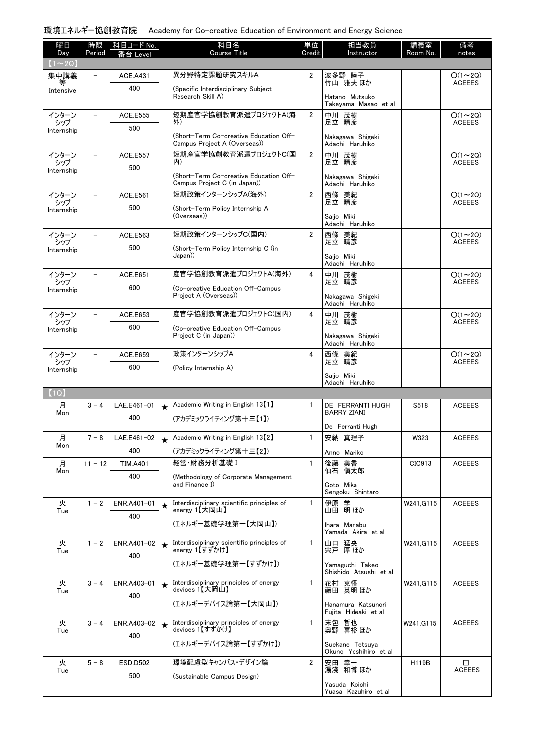環境エネルギー協創教育院 Academy for Co-creative Education of Environment and Energy Science

| 曜日<br>Day         | 時限<br>Period             | 科目名<br>科目コード No.<br><b>Course Title</b><br>番台 Level |         | 単位<br>Credit                                                           | 担当教員<br>Instructor | 講義室<br>Room No.                            | 備考<br>notes  |                                 |
|-------------------|--------------------------|-----------------------------------------------------|---------|------------------------------------------------------------------------|--------------------|--------------------------------------------|--------------|---------------------------------|
| $(1\sim 2Q)$      |                          |                                                     |         |                                                                        |                    |                                            |              |                                 |
| 集中講義              | $\overline{\phantom{0}}$ | <b>ACE.A431</b>                                     |         | 異分野特定課題研究スキルA                                                          | 2                  | 波多野 睦子<br>竹山 雅夫 ほか                         |              | $O(1\sim 2Q)$<br><b>ACEEES</b>  |
| 等<br>Intensive    |                          | 400                                                 |         | (Specific Interdisciplinary Subject<br>Research Skill A)               |                    |                                            |              |                                 |
|                   |                          |                                                     |         |                                                                        |                    | Hatano Mutsuko<br>Takeyama Masao et al     |              |                                 |
| インターン<br>シップ      |                          | <b>ACE.E555</b>                                     |         | 短期産官学協創教育派遣プロジェクトA(海<br>外)                                             | $\overline{2}$     | 中川 茂樹<br>足立 晴彦                             |              | $O(1\sim 2Q)$<br><b>ACEEES</b>  |
| Internship        |                          | 500                                                 |         | (Short-Term Co-creative Education Off-<br>Campus Project A (Overseas)) |                    | Nakagawa Shigeki<br>Adachi Haruhiko        |              |                                 |
| インターン             | $\overline{\phantom{0}}$ | ACE.E557                                            |         | 短期産官学協創教育派遣プロジェクトC(国                                                   | $\overline{2}$     | 中川 茂樹                                      |              | $O(1\sim 2Q)$                   |
| シップ<br>Internship |                          | 500                                                 |         | 内)                                                                     |                    | 足立 晴彦                                      |              | <b>ACEEES</b>                   |
|                   |                          |                                                     |         | (Short-Term Co-creative Education Off-<br>Campus Project C (in Japan)) |                    | Nakagawa Shigeki<br>Adachi Haruhiko        |              |                                 |
| インターン             |                          | ACE.E561                                            |         | 短期政策インターンシップA(海外)                                                      | $\overline{2}$     | 西條 美紀<br>足立 晴彦                             |              | $O(1\sim 2Q)$                   |
| シップ<br>Internship |                          | 500                                                 |         | (Short-Term Policy Internship A                                        |                    |                                            |              | <b>ACEEES</b>                   |
|                   |                          |                                                     |         | (Overseas))                                                            |                    | Saijo Miki<br>Adachi Haruhiko              |              |                                 |
| インターン<br>シップ      | $\overline{\phantom{a}}$ | ACE.E563                                            |         | 短期政策インターンシップC(国内)                                                      | $\overline{2}$     | 西條 美紀<br>足立 晴彦                             |              | $O(1 \sim 2Q)$<br><b>ACEEES</b> |
| Internship        |                          | 500                                                 |         | (Short-Term Policy Internship C (in<br>((Japan                         |                    | Saijo Miki                                 |              |                                 |
|                   |                          |                                                     |         |                                                                        |                    | Adachi Haruhiko                            |              |                                 |
| インターン<br>シップ      |                          | <b>ACE.E651</b>                                     |         | 産官学協創教育派遣プロジェクトA(海外)                                                   | 4                  | 中川 茂樹<br>足立 晴彦                             |              | $O(1\sim 2Q)$<br><b>ACEEES</b>  |
| Internship        |                          | 600                                                 |         | (Co-creative Education Off-Campus<br>Project A (Overseas))             |                    | Nakagawa Shigeki                           |              |                                 |
|                   |                          |                                                     |         |                                                                        |                    | Adachi Haruhiko                            |              |                                 |
| インターン<br>シップ      |                          | ACE.E653                                            |         | 産官学協創教育派遣プロジェクトC(国内)                                                   | 4                  | 中川 茂樹<br>足立 晴彦                             |              | $O(1\sim 2Q)$<br><b>ACEEES</b>  |
| Internship        |                          | 600                                                 |         | (Co-creative Education Off-Campus<br>Project C (in Japan))             |                    | Nakagawa Shigeki                           |              |                                 |
|                   |                          |                                                     |         |                                                                        |                    | Adachi Haruhiko                            |              |                                 |
| インターン<br>シップ      |                          | ACE.E659                                            |         | 政策インターンシップA                                                            | 4                  | 西條 美紀<br>足立 晴彦                             |              | $O(1\sim 2Q)$<br><b>ACEEES</b>  |
| Internship        |                          | 600                                                 |         | (Policy Internship A)                                                  |                    | Saijo Miki                                 |              |                                 |
| (1Q)              |                          |                                                     |         |                                                                        |                    | Adachi Haruhiko                            |              |                                 |
| 月                 | $3 - 4$                  | LAE.E461-01                                         | $\star$ | Academic Writing in English 13 <sup>[1]</sup>                          | $\mathbf{1}$       | DE FERRANTI HUGH                           | S518         | <b>ACEEES</b>                   |
| Mon               |                          | 400                                                 |         | (アカデミックライティング第十三【1】)                                                   |                    | <b>BARRY ZIANI</b>                         |              |                                 |
|                   |                          |                                                     |         |                                                                        |                    | De Ferranti Hugh                           |              |                                 |
| 月<br>Mon          | $7 - 8$                  | LAE.E461-02                                         |         | Academic Writing in English 13 <sup>[2]</sup>                          | $\mathbf{1}$       | 安納 真理子                                     | W323         | <b>ACEEES</b>                   |
|                   | $11 - 12$                | 400                                                 |         | (アカデミックライティング第十三【2】)<br>経営·財務分析基礎 I                                    | $\mathbf{1}$       | Anno Mariko<br>後藤 美香                       | CIC913       | <b>ACEEES</b>                   |
| 月<br>Mon          |                          | <b>TIM.A401</b><br>400                              |         | (Methodology of Corporate Management                                   |                    | 仙石 愼太郎                                     |              |                                 |
|                   |                          |                                                     |         | and Finance I)                                                         |                    | Goto Mika                                  |              |                                 |
| 火                 | $1 - 2$                  | ENR.A401-01                                         | $\star$ | Interdisciplinary scientific principles of                             | $\mathbf{1}$       | Sengoku Shintaro<br>伊原 学                   | W241, G115   | <b>ACEEES</b>                   |
| Tue               |                          | 400                                                 |         | energy 1【大岡山】                                                          |                    | 山田 明ほか                                     |              |                                 |
|                   |                          |                                                     |         | (エネルギー基礎学理第一【大岡山】)                                                     |                    | Ihara Manabu<br>Yamada Akira et al         |              |                                 |
| 火                 | $1 - 2$                  | ENR.A401-02                                         | $\star$ | Interdisciplinary scientific principles of                             | $\mathbf{1}$       | 山口 猛央<br>宍戸 厚ほか                            | W241, G115   | <b>ACEEES</b>                   |
| Tue               |                          | 400                                                 |         | energy 1【すずかけ】                                                         |                    |                                            |              |                                 |
|                   |                          |                                                     |         | (エネルギー基礎学理第一【すずかけ】)                                                    |                    | Yamaguchi Takeo<br>Shishido Atsushi et al  |              |                                 |
| 火                 | $3 - 4$                  | ENR.A403-01                                         | $\star$ | Interdisciplinary principles of energy                                 | $\mathbf{1}$       | 花村 克悟                                      | W241, G115   | <b>ACEEES</b>                   |
| Tue               |                          | 400                                                 |         | devices 1【大岡山】                                                         |                    | 藤田 英明 ほか                                   |              |                                 |
|                   |                          |                                                     |         | (エネルギーデバイス論第一【大岡山】)                                                    |                    | Hanamura Katsunori<br>Fujita Hideaki et al |              |                                 |
| 火<br>Tue          | $3 - 4$                  | ENR.A403-02                                         | $\star$ | Interdisciplinary principles of energy<br>devices 1【すずかけ】              | $\mathbf{1}$       | 末包 哲也<br>奥野 喜裕ほか                           | W241, G115   | <b>ACEEES</b>                   |
|                   |                          | 400                                                 |         | (エネルギーデバイス論第一【すずかけ】)                                                   |                    | Suekane Tetsuya                            |              |                                 |
|                   |                          |                                                     |         |                                                                        |                    | Okuno Yoshihiro et al                      |              |                                 |
| 火<br>Tue          | $5 - 8$                  | <b>ESD.D502</b>                                     |         | 環境配慮型キャンパス・デザイン論                                                       | 2                  | 安田 幸一<br>湯淺 和博 ほか                          | <b>H119B</b> | □<br><b>ACEEES</b>              |
|                   |                          | 500                                                 |         | (Sustainable Campus Design)                                            |                    | Yasuda Koichi                              |              |                                 |
|                   |                          |                                                     |         |                                                                        |                    | Yuasa Kazuhiro et al                       |              |                                 |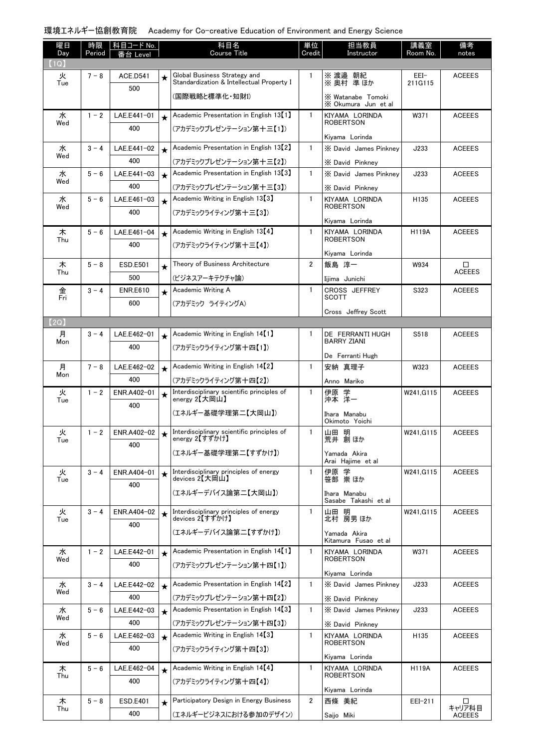環境エネルギー協創教育院 Academy for Co-creative Education of Environment and Energy Science

| 曜日<br>Day | 時限<br>Period | 科目コード No.<br>番台 Level |         | 科目名<br><b>Course Title</b>                                                |                       | 担当教員<br>Instructor                       | 講義室<br>Room No.  | 備考<br>notes   |
|-----------|--------------|-----------------------|---------|---------------------------------------------------------------------------|-----------------------|------------------------------------------|------------------|---------------|
| (1Q)      |              |                       |         |                                                                           | Credit                |                                          |                  |               |
| 火<br>Tue  | $7 - 8$      | <b>ACE.D541</b>       | $\star$ | Global Business Strategy and<br>Standardization & Intellectual Property I | 1                     | ※渡邉 朝紀<br>※ 奥村 準ほか                       | EEI-<br>211G115  | <b>ACEEES</b> |
|           |              | 500                   |         | (国際戦略と標準化・知財I)                                                            |                       | X Watanabe Tomoki<br>X Okumura Jun et al |                  |               |
| 水         | $1 - 2$      | LAE.E441-01           | $\star$ | Academic Presentation in English 13 [1]                                   | $\mathbf{1}$          | KIYAMA LORINDA                           | W371             | <b>ACEEES</b> |
| Wed       |              | 400                   |         | (アカデミックプレゼンテーション第十三【1】)                                                   |                       | <b>ROBERTSON</b>                         |                  |               |
| 水         | $3 - 4$      | LAE.E441-02           |         | Academic Presentation in English 13 [2]                                   | $\mathbf{1}$          | Kiyama Lorinda<br>X David James Pinknev  | J233             | <b>ACEEES</b> |
| Wed       |              | 400                   | $\star$ | (アカデミックプレゼンテーション第十三【2】)                                                   |                       | X David Pinkney                          |                  |               |
| 水         | $5 - 6$      | LAE.E441-03           | $\star$ | Academic Presentation in English 13 [3]                                   | $\mathbf{1}$          | X David James Pinkney                    | J233             | <b>ACEEES</b> |
| Wed       |              | 400                   |         | (アカデミックプレゼンテーション第十三【3】)                                                   |                       | X David Pinkney                          |                  |               |
| 水         | $5 - 6$      | LAE.E461-03           | $\star$ | Academic Writing in English 13 [3]                                        | $\mathbf{1}$          | KIYAMA LORINDA                           | H135             | <b>ACEEES</b> |
| Wed       |              | 400                   |         | (アカデミックライティング第十三【3】)                                                      |                       | <b>ROBERTSON</b>                         |                  |               |
|           |              |                       |         | Academic Writing in English 13 <sup>[4]</sup>                             |                       | Kivama Lorinda                           |                  |               |
| 木<br>Thu  | $5 - 6$      | LAE.E461-04           | $\star$ |                                                                           | $\mathbf{1}$          | KIYAMA LORINDA<br><b>ROBERTSON</b>       | <b>H119A</b>     | <b>ACEEES</b> |
|           |              | 400                   |         | (アカデミックライティング第十三【4】)                                                      |                       | Kiyama Lorinda                           |                  |               |
| 木         | $5 - 8$      | <b>ESD.E501</b>       | $\star$ | Theory of Business Architecture                                           | $\overline{2}$        | 飯島 淳一                                    | W934             | □             |
| Thu       |              | 500                   |         | (ビジネスアーキテクチャ論)                                                            |                       | Iijima Junichi                           |                  | <b>ACEEES</b> |
| 金         | $3 - 4$      | <b>ENR.E610</b>       | $\star$ | Academic Writing A                                                        | $\mathbf{1}$          | CROSS JEFFREY                            | S323             | <b>ACEEES</b> |
| Fri       |              | 600                   |         | (アカデミック ライティングA)                                                          |                       | <b>SCOTT</b>                             |                  |               |
| (2Q)      |              |                       |         |                                                                           |                       | Cross Jeffrey Scott                      |                  |               |
| 月         | $3 - 4$      | LAE.E462-01           | $\star$ | Academic Writing in English 14 [1]                                        | 1                     | DE FERRANTI HUGH                         | S518             | <b>ACEEES</b> |
| Mon       |              | 400                   |         | (アカデミックライティング第十四【1】)                                                      |                       | <b>BARRY ZIANI</b>                       |                  |               |
|           |              |                       |         |                                                                           |                       | De Ferranti Hugh                         |                  |               |
| 月<br>Mon  | $7 - 8$      | LAE.E462-02           | $\star$ | Academic Writing in English 14 [2]                                        | $\mathbf{1}$          | 安納 真理子                                   | W323             | <b>ACEEES</b> |
|           |              | 400                   |         | (アカデミックライティング第十四【2】)                                                      |                       | Anno Mariko                              |                  |               |
| 火<br>Tue  | $1 - 2$      | ENR.A402-01           |         | Interdisciplinary scientific principles of<br>energy 2【大岡山】               | $\mathbf{1}$          | 伊原 学<br>沖本 洋一                            | W241.G115        | <b>ACEEES</b> |
|           |              | 400                   |         | (エネルギー基礎学理第二【大岡山】)                                                        |                       | Ihara Manabu                             |                  |               |
|           |              |                       |         |                                                                           |                       | Okimoto Yoichi                           |                  |               |
| 火<br>l ue | $1 - 2$      | ENR.A402-02           | $\star$ | Interdisciplinary scientific principles of<br>energy 2【すずかけ】              | $\mathbf{1}$          | 山田 明<br>荒井 創ほか                           | W241, G115       | <b>ACEEES</b> |
|           |              | 400                   |         | (エネルギー基礎学理第二【すずかけ】)                                                       |                       | Yamada Akira<br>Arai Haiime et al        |                  |               |
| 火         | $3 - 4$      | ENR.A404-01           | $\star$ | Interdisciplinary principles of energy                                    | $\mathbf{1}$          | 伊原 学<br>笹部 崇ほか                           | W241, G115       | <b>ACEEES</b> |
| Tue       |              | 400                   |         | devices 2【大岡山】                                                            |                       |                                          |                  |               |
|           |              |                       |         | (エネルギーデバイス論第二【大岡山】)                                                       |                       | Ihara Manabu<br>Sasabe Takashi et al     |                  |               |
| 火<br>Tue  | $3 - 4$      | ENR.A404-02<br>400    | $\star$ | Interdisciplinary principles of energy<br>devices 2【すずかけ】                 | $\mathbf{1}$          | 山田 明<br>北村 房男 ほか                         | W241, G115       | <b>ACEEES</b> |
|           |              |                       |         | (エネルギーデバイス論第二【すずかけ】)                                                      |                       | Yamada Akira<br>Kitamura Fusao et al     |                  |               |
| 水         | $1 - 2$      | LAE.E442-01           | $\star$ | Academic Presentation in English 14 <sup>[1]</sup>                        | $\mathbf{1}$          | KIYAMA LORINDA                           | W371             | <b>ACEEES</b> |
| Wed       |              | 400                   |         | (アカデミックプレゼンテーション第十四【1】)                                                   |                       | <b>ROBERTSON</b><br>Kiyama Lorinda       |                  |               |
| 水         | $3 - 4$      | LAE.E442-02           | $\star$ | Academic Presentation in English 14 [2]                                   | $\mathbf{1}$          | X David James Pinkney                    | J233             | <b>ACEEES</b> |
| Wed       |              | 400                   |         | (アカデミックプレゼンテーション第十四【2】)                                                   |                       | X David Pinkney                          |                  |               |
| 水         | $5 - 6$      | LAE.E442-03           | $\star$ | Academic Presentation in English 14 [3]                                   | $\mathbf{1}$          | X David James Pinkney                    | J233             | <b>ACEEES</b> |
| Wed       |              | 400                   |         | (アカデミックプレゼンテーション第十四【3】)                                                   |                       | X David Pinkney                          |                  |               |
| 水         | $5 - 6$      | LAE.E462-03           | $\star$ | Academic Writing in English 14 <sup>[3]</sup>                             | $\mathbf{1}$          | KIYAMA LORINDA                           | H <sub>135</sub> | <b>ACEEES</b> |
| Wed       |              | 400                   |         | (アカデミックライティング第十四【3】)                                                      |                       | <b>ROBERTSON</b><br>Kiyama Lorinda       |                  |               |
| 木         | $5 - 6$      | LAE.E462-04           | $\star$ | Academic Writing in English 14 <sup>[4]</sup>                             | $\mathbf{1}$          | KIYAMA LORINDA                           | <b>H119A</b>     | <b>ACEEES</b> |
| Thu       |              | 400                   |         | (アカデミックライティング第十四【4】)                                                      |                       | <b>ROBERTSON</b>                         |                  |               |
|           |              |                       |         |                                                                           |                       | Kiyama Lorinda                           |                  |               |
| 木<br>Thu  | $5 - 8$      | ESD.E401              | $\star$ | Participatory Design in Energy Business                                   | $\mathbf{2}^{\prime}$ | 西條 美紀                                    | EEI-211          | □<br>キャリア科目   |
|           |              | 400                   |         | (エネルギービジネスにおける参加のデザイン)                                                    |                       | Saijo Miki                               |                  | <b>ACEEES</b> |